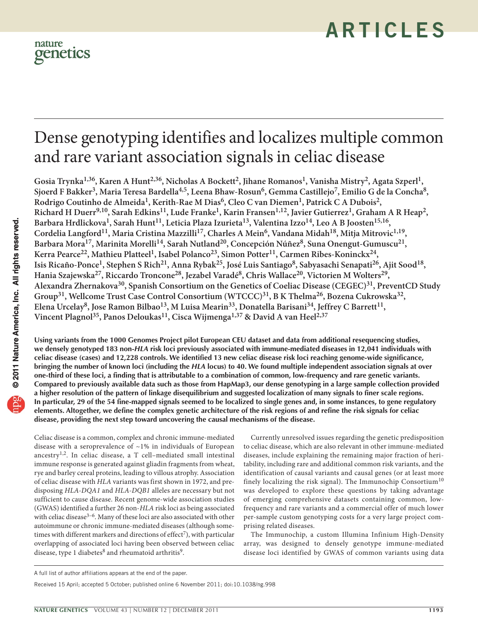

# Dense genotyping identifies and localizes multiple common and rare variant association signals in celiac disease

Gosia Trynka<sup>1,36</sup>, Karen A Hunt<sup>2,36</sup>, Nicholas A Bockett<sup>2</sup>, Jihane Romanos<sup>1</sup>, Vanisha Mistry<sup>2</sup>, Agata Szperl<sup>1</sup>, Sjoerd F Bakker<sup>3</sup>, Maria Teresa Bardella<sup>4,5</sup>, Leena Bhaw-Rosun<sup>6</sup>, Gemma Castillejo<sup>7</sup>, Emilio G de la Concha<sup>8</sup>, Rodrigo Coutinho de Almeida<sup>1</sup>, Kerith-Rae M Dias<sup>6</sup>, Cleo C van Diemen<sup>1</sup>, Patrick C A Dubois<sup>2</sup>, Richard H Duerr<sup>9,10</sup>, Sarah Edkins<sup>11</sup>, Lude Franke<sup>1</sup>, Karin Fransen<sup>1,12</sup>, Javier Gutierrez<sup>1</sup>, Graham A R Heap<sup>2</sup>, Barbara Hrdlickova<sup>1</sup>, Sarah Hunt<sup>11</sup>, Leticia Plaza Izurieta<sup>13</sup>, Valentina Izzo<sup>14</sup>, Leo A B Joosten<sup>15,16</sup>, Cordelia Langford<sup>11</sup>, Maria Cristina Mazzilli<sup>17</sup>, Charles A Mein<sup>6</sup>, Vandana Midah<sup>18</sup>, Mitja Mitrovic<sup>1,19</sup>, Barbara Mora<sup>17</sup>, Marinita Morelli<sup>14</sup>, Sarah Nutland<sup>20</sup>, Concepción Núñez<sup>8</sup>, Suna Onengut-Gumuscu<sup>21</sup>, Kerra Pearce<sup>22</sup>, Mathieu Platteel<sup>1</sup>, Isabel Polanco<sup>23</sup>, Simon Potter<sup>11</sup>, Carmen Ribes-Koninckx<sup>24</sup>, Isis Ricaño-Ponce<sup>1</sup>, Stephen S Rich<sup>21</sup>, Anna Rybak<sup>25</sup>, José Luis Santiago<sup>8</sup>, Sabyasachi Senapati<sup>26</sup>, Ajit Sood<sup>18</sup>, Hania Szajewska<sup>27</sup>, Riccardo Troncone<sup>28</sup>, Jezabel Varadé<sup>8</sup>, Chris Wallace<sup>20</sup>, Victorien M Wolters<sup>29</sup>, Alexandra Zhernakova<sup>30</sup>, Spanish Consortium on the Genetics of Coeliac Disease (CEGEC)<sup>31</sup>, PreventCD Study Group<sup>31</sup>, Wellcome Trust Case Control Consortium (WTCCC)<sup>31</sup>, B K Thelma<sup>26</sup>, Bozena Cukrowska<sup>32</sup>, Elena Urcelay<sup>8</sup>, Jose Ramon Bilbao<sup>13</sup>, M Luisa Mearin<sup>33</sup>, Donatella Barisani<sup>34</sup>, Jeffrey C Barrett<sup>11</sup>, Vincent Plagnol<sup>35</sup>, Panos Deloukas<sup>11</sup>, Cisca Wijmenga<sup>1,37</sup> & David A van Heel<sup>2,37</sup>

Using variants from the 1000 Genomes Project pilot European CEU dataset and data from additional resequencing studies, we densely genotyped 183 non-HLA risk loci previously associated with immune-mediated diseases in 12,041 individuals with celiac disease (cases) and 12,228 controls. We identified 13 new celiac disease risk loci reaching genome-wide significance, bringing the number of known loci (including the HLA locus) to 40. We found multiple independent association signals at over one-third of these loci, a finding that is attributable to a combination of common, low-frequency and rare genetic variants. Compared to previously available data such as those from HapMap3, our dense genotyping in a large sample collection provided a higher resolution of the pattern of linkage disequilibrium and suggested localization of many signals to finer scale regions. In particular, 29 of the 54 fine-mapped signals seemed to be localized to single genes and, in some instances, to gene regulatory elements. Altogether, we define the complex genetic architecture of the risk regions of and refine the risk signals for celiac **disease, providing the next step toward uncovering the causal mechanisms of the disease.**

Celiac disease is a common, complex and chronic immune-mediated disease with a seroprevalence of  $~1\%$  in individuals of European ancestry[1,](#page-8-0)[2](#page-8-1). In celiac disease, a T cell–mediated small intestinal immune response is generated against gliadin fragments from wheat, rye and barley cereal proteins, leading to villous atrophy. Association of celiac disease with *HLA* variants was first shown in 1972, and predisposing *HLA-DQA1* and *HLA-DQB1* alleles are necessary but not sufficient to cause disease. Recent genome-wide association studies (GWAS) identified a further 26 non-*HLA* risk loci as being associated with celiac disease $3-6$ . Many of these loci are also associated with other autoimmune or chronic immune-mediated diseases (although sometimes with different markers and directions of effect<sup>7</sup>), with particular overlapping of associated loci having been observed between celiac disease, type 1 diabetes $8$  and rheumatoid arthritis $9$ .

Currently unresolved issues regarding the genetic predisposition to celiac disease, which are also relevant in other immune-mediated diseases, include explaining the remaining major fraction of heritability, including rare and additional common risk variants, and the identification of causal variants and causal genes (or at least more finely localizing the risk signal). The Immunochip Consortium<sup>[10](#page-8-7)</sup> was developed to explore these questions by taking advantage of emerging comprehensive datasets containing common, lowfrequency and rare variants and a commercial offer of much lower per-sample custom genotyping costs for a very large project comprising related diseases.

The Immunochip, a custom Illumina Infinium High-Density array, was designed to densely genotype immune-mediated disease loci identified by GWAS of common variants using data

A full list of author affiliations appears at the end of the paper.

Received 15 April; accepted 5 October; published online 6 November 2011; [doi:10.1038/ng.998](http://www.nature.com/doifinder/10.1038/ng.998)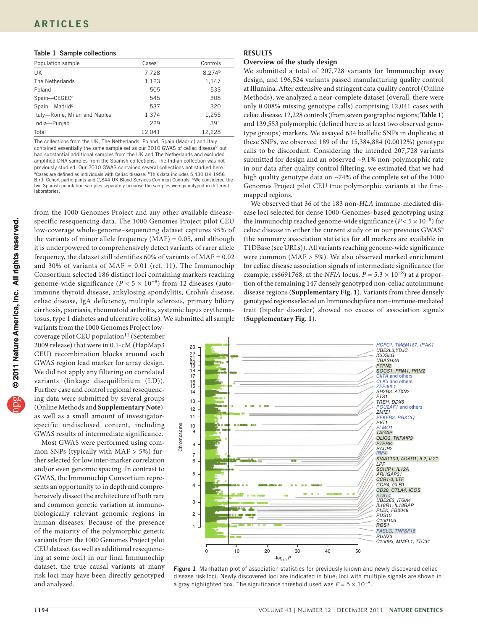## <span id="page-1-0"></span>Table 1 Sample collections

| Population sample            | $\text{Cases}^a$ | Controls           |
|------------------------------|------------------|--------------------|
| UK                           | 7,728            | 8.274 <sup>b</sup> |
| The Netherlands              | 1,123            | 1,147              |
| Poland                       | 505              | 533                |
| Spain-CEGEC <sup>c</sup>     | 545              | 308                |
| Spain-Madrid <sup>c</sup>    | 537              | 320                |
| Italy-Rome, Milan and Naples | 1,374            | 1,255              |
| India-Punjab                 | 229              | 391                |
| Total                        | 12,041           | 12,228             |

The collections from the UK, The Netherlands, Poland, Spain (Madrid) and Italy contained essentially the same sample set as our 2010 GWAS of celiac disease<sup>5</sup> but had substantial additional samples from the UK and The Netherlands and excluded amplified DNA samples from the Spanish collections. The Indian collection was not previously studied. Our 2010 GWAS contained several collections not studied here. .<br><sup>a</sup>Cases are defined as individuals with Celiac disease. <sup>b</sup>This data includes 5,430 UK 1958 Birth Cohort participants and 2,844 UK Blood Services Common Controls. CWe considered the two Spanish population samples separately because the samples were genotyped in different laboratories.

from the 1000 Genomes Project and any other available diseasespecific resequencing data. The 1000 Genomes Project pilot CEU low-coverage whole-genome–sequencing dataset captures 95% of the variants of minor allele frequency  $(MAF) = 0.05$ , and although it is underpowered to comprehensively detect variants of rarer allele frequency, the dataset still identifies  $60\%$  of variants of  $MAF = 0.02$ and 30% of variants of  $MAF = 0.01$  (ref. 11). The Immunochip Consortium selected 186 distinct loci containing markers reaching genome-wide significance ( $P < 5 \times 10^{-8}$ ) from 12 diseases (autoimmune thyroid disease, ankylosing spondylitis, Crohn's disease, celiac disease, IgA deficiency, multiple sclerosis, primary biliary cirrhosis, psoriasis, rheumatoid arthritis, systemic lupus erythematosus, type 1 diabetes and ulcerative colitis). We submitted all sample

variants from the 1000 Genomes Project lowcoverage pilot CEU population<sup>11</sup> (September 2009 release) that were in 0.1-cM (HapMap3 CEU) recombination blocks around each GWAS region lead marker for array design. We did not apply any filtering on correlated variants (linkage disequilibrium (LD)). Further case and control regional resequencing data were submitted by several groups (Online Methods and **Supplementary Note**), as well as a small amount of investigatorspecific undisclosed content, including GWAS results of intermediate significance.

Most GWAS were performed using common SNPs (typically with  $MAF > 5\%$ ) further selected for low inter-marker correlation and/or even genomic spacing. In contrast to GWAS, the Immunochip Consortium represents an opportunity to in depth and comprehensively dissect the architecture of both rare and common genetic variation at immunobiologically relevant genomic regions in human diseases. Because of the presence of the majority of the polymorphic genetic variants from the 1000 Genomes Project pilot CEU dataset (as well as additional resequencing at some loci) in our final Immunochip dataset, the true causal variants at many risk loci may have been directly genotyped and analyzed.

# **RESULTS**

# **Overview of the study design**

We submitted a total of 207,728 variants for Immunochip assay design, and 196,524 variants passed manufacturing quality control at Illumina. After extensive and stringent data quality control (Online Methods), we analyzed a near-complete dataset (overall, there were only 0.008% missing genotype calls) comprising 12,041 cases with celiac disease, 12,228 controls (from seven geographic regions; **[Table 1](#page-1-0)**) and 139,553 polymorphic (defined here as at least two observed genotype groups) markers. We assayed 634 biallelic SNPs in duplicate; at these SNPs, we observed 189 of the 15,384,884 (0.0012%) genotype calls to be discordant. Considering the intended 207,728 variants submitted for design and an observed ~9.1% non-polymorphic rate in our data after quality control filtering, we estimated that we had high quality genotype data on ~74% of the complete set of the 1000 Genomes Project pilot CEU true polymorphic variants at the finemapped regions.

We observed that 36 of the 183 non-*HLA* immune-mediated disease loci selected for dense 1000-Genomes–based genotyping using the Immunochip reached genome-wide significance ( $P < 5 \times 10^{-8}$ ) for celiac disease in either the current study or in our previous GWAS<sup>[5](#page-8-9)</sup> (the summary association statistics for all markers are available in T1DBase (see URLs)). All variants reaching genome-wide significance were common (MAF > 5%). We also observed marked enrichment for celiac disease association signals of intermediate significance (for example, rs6691768, at the *NFIA* locus,  $P = 5.3 \times 10^{-8}$ ) at a proportion of the remaining 147 densely genotyped non-celiac autoimmune disease regions (**Supplementary Fig. 1**). Variants from three densely genotyped regions selected on Immunochip for a non–immune-mediated trait (bipolar disorder) showed no excess of association signals (**Supplementary Fig. 1**).



<span id="page-1-1"></span>Figure 1 Manhattan plot of association statistics for previously known and newly discovered celiac disease risk loci. Newly discovered loci are indicated in blue; loci with multiple signals are shown in a gray highlighted box. The significance threshold used was  $P = 5 \times 10^{-8}$ .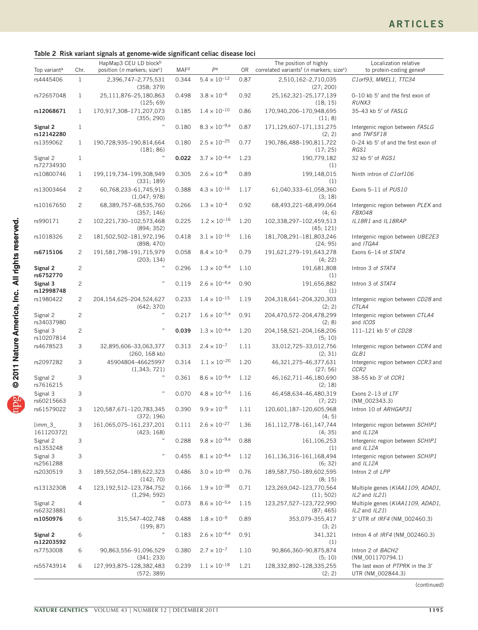<span id="page-2-0"></span>Table 2 Risk variant signals at genome-wide significant celiac disease loci

|                          |                           | HapMap3 CEU LD block <sup>b</sup>                |                  |                        |      | The position of highly                                           | Localization relative                                  |
|--------------------------|---------------------------|--------------------------------------------------|------------------|------------------------|------|------------------------------------------------------------------|--------------------------------------------------------|
| Top variant <sup>a</sup> | Chr.                      | position ( $n$ markers; size <sup>c</sup> )      | MAF <sup>d</sup> | P <sup>e</sup>         | OR   | correlated variants <sup>f</sup> (n markers; size <sup>c</sup> ) | to protein-coding genesg                               |
| rs4445406                | $\mathbf{1}$              | 2,396,747-2,775,531<br>(358; 379)                | 0.344            | $5.4 \times 10^{-12}$  | 0.87 | 2,510,162-2,710,035<br>(27; 200)                                 | Clorf93, MMEL1, TTC34                                  |
| rs72657048               | 1                         | 25,111,876-25,180,863<br>(125; 69)               | 0.498            | $3.8 \times 10^{-6}$   | 0.92 | 25,162,321-25,177,139<br>(18; 15)                                | 0-10 kb 5' and the first exon of<br>RUNX3              |
| rs12068671               | $\mathbf{1}$              | 170,917,308-171,207,073<br>(355; 290)            | 0.185            | $1.4 \times 10^{-10}$  | 0.86 | 170,940,206-170,948,695<br>(11; 8)                               | 35-43 kb 5' of FASLG                                   |
| Signal 2<br>rs12142280   | $\mathbf{1}$              | $, \,$                                           | 0.180            | $8.3 \times 10^{-9,e}$ | 0.87 | 171,129,607-171,131,275<br>(2; 2)                                | Intergenic region between FASLG<br>and TNFSF18         |
| rs1359062                | $\mathbf{1}$              | 190,728,935-190,814,664<br>(181; 86)             | 0.180            | $2.5 \times 10^{-25}$  | 0.77 | 190,786,488-190,811,722<br>(17; 25)                              | 0-24 kb 5' of and the first exon of<br>RGS1            |
| Signal 2<br>rs72734930   | $\mathbf{1}$              | $, \,$                                           | 0.022            | $3.7 \times 10^{-4,e}$ | 1.23 | 190,779,182<br>(1)                                               | 32 kb 5' of RGS1                                       |
| rs10800746               | $\mathbf{1}$              | 199, 119, 734 - 199, 308, 949<br>(331; 189)      | 0.305            | $2.6 \times 10^{-8}$   | 0.89 | 199,148,015<br>(1)                                               | Ninth intron of Clorf106                               |
| rs13003464               | $\overline{c}$            | 60,768,233-61,745,913<br>(1,047; 978)            | 0.388            | $4.3 \times 10^{-16}$  | 1.17 | 61,040,333-61,058,360<br>(3; 18)                                 | Exons 5-11 of PUS10                                    |
| rs10167650               | 2                         | 68,389,757-68,535,760<br>(357; 146)              | 0.266            | $1.3 \times 10^{-4}$   | 0.92 | 68,493,221-68,499,064<br>(4; 6)                                  | Intergenic region between PLEK and<br><b>FBX048</b>    |
| rs990171                 | 2                         | 102,221,730-102,573,468<br>(894; 352)            | 0.225            | $1.2 \times 10^{-16}$  | 1.20 | 102,338,297-102,459,513<br>(45; 121)                             | IL18R1 and IL18RAP                                     |
| rs1018326                | $\overline{c}$            | 181,502,502-181,972,196<br>(898; 470)            | 0.418            | $3.1 \times 10^{-16}$  | 1.16 | 181,708,291-181,803,246<br>(24; 95)                              | Intergenic region between UBE2E3<br>and ITGA4          |
| rs6715106                | $\overline{c}$            | 191,581,798-191,715,979<br>(203; 134)            | 0.058            | $8.4 \times 10^{-9}$   | 0.79 | 191,621,279-191,643,278<br>(4; 22)                               | Exons 6-14 of STAT4                                    |
| Signal 2<br>rs6752770    | $\overline{c}$            |                                                  | 0.296            | $1.3 \times 10^{-6,e}$ | 1.10 | 191,681,808<br>(1)                                               | Intron 3 of STAT4                                      |
| Signal 3<br>rs12998748   | $\overline{c}$            | $, \,$                                           | 0.119            | $2.6 \times 10^{-4,e}$ | 0.90 | 191,656,882<br>(1)                                               | Intron 3 of STAT4                                      |
| rs1980422                | 2                         | 204,154,625-204,524,627<br>(642; 370)            | 0.233            | $1.4 \times 10^{-15}$  | 1.19 | 204,318,641-204,320,303<br>(2; 2)                                | Intergenic region between CD28 and<br>CTLA4            |
| Signal 2<br>rs34037980   | $\mathbf{2}$              | ,,                                               | 0.217            | $1.6 \times 10^{-5,e}$ | 0.91 | 204,470,572-204,478,299<br>(2; 8)                                | Intergenic region between CTLA4<br>and ICOS            |
| Signal 3<br>rs10207814   | $\overline{c}$            | $, \,$                                           | 0.039            | $1.3 \times 10^{-4,e}$ | 1.20 | 204,158,521-204,168,206<br>(5; 10)                               | 111-121 kb 5' of CD28                                  |
| rs4678523                | 3                         | 32,895,606-33,063,377<br>$(260, 168 \text{ kb})$ | 0.313            | $2.4 \times 10^{-7}$   | 1.11 | 33,012,725-33,012,756<br>(2; 31)                                 | Intergenic region between CCR4 and<br>GLB1             |
| rs2097282                | 3                         | 45904804-46625997<br>(1,343; 721)                | 0.314            | $1.1 \times 10^{-20}$  | 1.20 | 46, 321, 275 - 46, 377, 631<br>(27; 56)                          | Intergenic region between CCR3 and<br>CCR <sub>2</sub> |
| Signal 2<br>rs7616215    | $\ensuremath{\mathsf{3}}$ | ,,                                               | 0.361            | $8.6 \times 10^{-9,e}$ | 1.12 | 46, 162, 711 - 46, 180, 690<br>(2; 18)                           | 38-55 kb 3' of CCR1                                    |
| Signal 3<br>rs60215663   | 3                         | ,,                                               | 0.070            | $4.8 \times 10^{-5,e}$ | 1.16 | 46,458,634-46,480,319<br>(7; 22)                                 | Exons 2-13 of LTF<br>(NM_002343.3)                     |
| rs61579022               | 3                         | 120,587,671-120,783,345<br>(372; 196)            | 0.390            | $9.9 \times 10^{-9}$   | 1.11 | 120,601,187-120,605,968<br>(4; 5)                                | Intron 10 of ARHGAP31                                  |
| $[imm_3]$<br>161120372]  | 3                         | 161,065,075-161,237,201<br>(423; 168)            | 0.111            | $2.6 \times 10^{-27}$  | 1.36 | 161, 112, 778 - 161, 147, 744<br>(4; 35)                         | Intergenic region between SCHIP1<br>and IL12A          |
| Signal 2<br>rs1353248    | 3                         | ,,                                               | 0.288            | $9.8 \times 10^{-9,e}$ | 0.88 | 161,106,253<br>(1)                                               | Intergenic region between SCHIP1<br>and IL12A          |
| Signal 3<br>rs2561288    | 3                         | ,,                                               | 0.455            | $8.1 \times 10^{-8,e}$ | 1.12 | 161, 136, 316 - 161, 168, 494<br>(6; 32)                         | Intergenic region between SCHIP1<br>and IL12A          |
| rs2030519                | 3                         | 189,552,054-189,622,323<br>(142; 70)             | 0.486            | $3.0 \times 10^{-49}$  | 0.76 | 189,587,750-189,602,595<br>(8; 15)                               | Intron 2 of LPP                                        |
| rs13132308               | 4                         | 123, 192, 512 - 123, 784, 752<br>(1,294; 592)    | 0.166            | $1.9 \times 10^{-38}$  | 0.71 | 123,269,042-123,770,564<br>(11; 502)                             | Multiple genes (KIAA1109, ADAD1,<br>$IL2$ and $IL21$ ) |
| Signal 2<br>rs62323881   | 4                         | $, \,$                                           | 0.073            | $8.6 \times 10^{-5,e}$ | 1.15 | 123,257,527-123,722,990<br>(87; 465)                             | Multiple genes (KIAA1109, ADAD1,<br>$IL2$ and $IL21$ ) |
| rs1050976                | 6                         | 315,547-402,748<br>(199; 87)                     | 0.488            | $1.8 \times 10^{-9}$   | 0.89 | 353,079-355,417<br>(3; 2)                                        | 3' UTR of IRF4 (NM_002460.3)                           |
| Signal 2<br>rs12203592   | 6                         | ,,                                               | 0.183            | $2.6 \times 10^{-4,e}$ | 0.91 | 341,321<br>(1)                                                   | Intron 4 of IRF4 (NM_002460.3)                         |
| rs7753008                | 6                         | 90,863,556-91,096,529<br>(341; 233)              | 0.380            | $2.7 \times 10^{-7}$   | 1.10 | 90,866,360-90,875,874<br>(5; 10)                                 | Intron 2 of BACH2<br>(NM_001170794.1)                  |
| rs55743914               | 6                         | 127,993,875-128,382,483<br>(572; 389)            | 0.239            | $1.1 \times 10^{-18}$  | 1.21 | 128, 332, 892 - 128, 335, 255<br>(2; 2)                          | The last exon of PTPRK in the 3'<br>UTR (NM_002844.3)  |

(continued)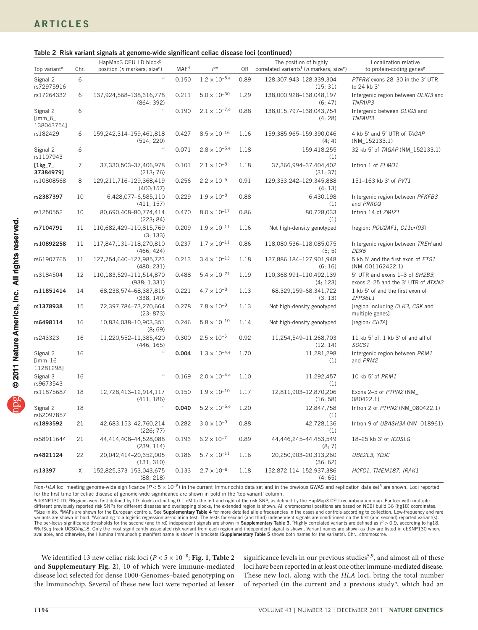| Table 2 Risk variant signals at genome-wide significant cellac disease loci (continued) |
|-----------------------------------------------------------------------------------------|
|-----------------------------------------------------------------------------------------|

| Top variant <sup>a</sup>            | Chr.           | Table 2 Thisk variant signals at genome-wide significant cenac disease foci (continued)<br>HapMap3 CEU LD block <sup>b</sup><br>position (n markers; size <sup>c</sup> ) | <b>MAF<sup>d</sup></b> | $P^e$                             | 0R   | The position of highly<br>correlated variants <sup>f</sup> (n markers; size <sup>c</sup> ) | Localization relative<br>to protein-coding genes <sup>g</sup>        |
|-------------------------------------|----------------|--------------------------------------------------------------------------------------------------------------------------------------------------------------------------|------------------------|-----------------------------------|------|--------------------------------------------------------------------------------------------|----------------------------------------------------------------------|
| Signal 2<br>rs72975916              | 6              | $\mathfrak{c}\mathfrak{c}$                                                                                                                                               | 0.150                  | $1.2 \times 10^{-5,e}$            | 0.89 | 128,307,943-128,339,304<br>(15; 31)                                                        | PTPRK exons 28-30 in the 3' UTR<br>to 24 kb 3'                       |
| rs17264332                          | 6              | 137,924,568-138,316,778<br>(864; 392)                                                                                                                                    | 0.211                  | $5.0 \times 10^{-30}$             | 1.29 | 138,000,928-138,048,197<br>(6; 47)                                                         | Intergenic region between OLIG3 and<br>TNFAIP3                       |
| Signal 2<br>$[imm_6]$<br>138043754] | 6              | $\mathfrak{c}\mathfrak{c}$                                                                                                                                               | 0.190                  | $2.1 \times 10^{-7}$ <sup>e</sup> | 0.88 | 138,015,797-138,043,754<br>(4; 28)                                                         | Intergenic between OLIG3 and<br>TNFAIP3                              |
| rs182429                            | 6              | 159,242,314-159,461,818<br>(514; 220)                                                                                                                                    | 0.427                  | $8.5 \times 10^{-16}$             | 1.16 | 159,385,965-159,390,046<br>(4; 4)                                                          | 4 kb 5' and 5' UTR of TAGAP<br>$(NM_152133.1)$                       |
| Signal 2<br>rs1107943               | 6              | $\mathfrak{c}\mathfrak{c}$                                                                                                                                               | 0.071                  | $2.8 \times 10^{-6,e}$            | 1.18 | 159,418,255<br>(1)                                                                         | 32 kb 5' of TAGAP (NM_152133.1)                                      |
| $[1kg_7]$<br>37384979]              | $\overline{7}$ | 37,330,503-37,406,978<br>(213; 76)                                                                                                                                       | 0.101                  | $2.1 \times 10^{-8}$              | 1.18 | 37,366,994-37,404,402<br>(31; 37)                                                          | Intron 1 of ELMO1                                                    |
| rs10808568                          | 8              | 129,211,716-129,368,419<br>(400;157)                                                                                                                                     | 0.256                  | $2.2 \times 10^{-5}$              | 0.91 | 129, 333, 242 - 129, 345, 888<br>(4; 13)                                                   | 151-163 kb 3' of PVT1                                                |
| rs2387397                           | 10             | 6,428,077-6,585,110<br>(411; 157)                                                                                                                                        | 0.229                  | $1.9 \times 10^{-8}$              | 0.88 | 6,430,198<br>(1)                                                                           | Intergenic region between PFKFB3<br>and PRKCQ                        |
| rs1250552                           | 10             | 80,690,408-80,774,414<br>(223; 84)                                                                                                                                       | 0.470                  | $8.0 \times 10^{-17}$             | 0.86 | 80,728,033<br>(1)                                                                          | Intron 14 of ZMIZ1                                                   |
| rs7104791                           | 11             | 110,682,429-110,815,769<br>(3; 133)                                                                                                                                      | 0.209                  | $1.9 \times 10^{-11}$             | 1.16 | Not high-density genotyped                                                                 | [region: POU2AF1, C11orf93]                                          |
| rs10892258                          | 11             | 117,847,131-118,270,810<br>(466; 424)                                                                                                                                    | 0.237                  | $1.7 \times 10^{-11}$             | 0.86 | 118,080,536-118,085,075<br>(5; 5)                                                          | Intergenic region between TREH and<br>DDX6                           |
| rs61907765                          | 11             | 127,754,640-127,985,723<br>(480; 231)                                                                                                                                    | 0.213                  | $3.4 \times 10^{-13}$             | 1.18 | 127,886,184-127,901,948<br>(6; 16)                                                         | 5 kb 5' and the first exon of ETS1<br>(NM_001162422.1)               |
| rs3184504                           | 12             | 110,183,529-111,514,870<br>(938; 1,331)                                                                                                                                  | 0.488                  | $5.4 \times 10^{-21}$             | 1.19 | 110,368,991-110,492,139<br>(4; 123)                                                        | 5' UTR and exons 1-3 of SH2B3;<br>exons 2-25 and the 3' UTR of ATXN2 |
| rs11851414                          | 14             | 68,238,574-68,387,815<br>(338; 149)                                                                                                                                      | 0.221                  | $4.7 \times 10^{-8}$              | 1.13 | 68,329,159-68,341,722<br>(3; 13)                                                           | 1 kb 5' of and the first exon of<br>ZFP36L1                          |
| rs1378938                           | 15             | 72,397,784-73,270,664<br>(23; 873)                                                                                                                                       | 0.278                  | $7.8 \times 10^{-9}$              | 1.13 | Not high-density genotyped                                                                 | [region including CLK3, CSK and<br>multiple genes]                   |
| rs6498114                           | 16             | 10,834,038-10,903,351<br>(8; 69)                                                                                                                                         | 0.246                  | $5.8 \times 10^{-10}$             | 1.14 | Not high-density genotyped                                                                 | [region: CIITA]                                                      |
| rs243323                            | 16             | 11,220,552-11,385,420<br>(446; 165)                                                                                                                                      | 0.300                  | $2.5 \times 10^{-5}$              | 0.92 | 11,254,549-11,268,703<br>(12; 14)                                                          | 11 kb 5' of, 1 kb 3' of and all of<br>SOCS1                          |
| Signal 2<br>$[imm_16$<br>11281298]  | 16             |                                                                                                                                                                          | 0.004                  | $1.3 \times 10^{-4,e}$            | 1.70 | 11,281,298<br>(1)                                                                          | Intergenic region between PRM1<br>and PRM2                           |
| Signal 3<br>rs9673543               | 16             | $\iota\iota$                                                                                                                                                             | 0.169                  | $2.0 \times 10^{-4,e}$            | 1.10 | 11,292,457<br>(1)                                                                          | 10 kb 5' of PRM1                                                     |
| rs11875687                          | 18             | 12,728,413-12,914,117<br>(411; 186)                                                                                                                                      | 0.150                  | $1.9 \times 10^{-10}$             | 1.17 | 12,811,903-12,870,206<br>(16; 58)                                                          | Exons 2-5 of PTPN2 (NM<br>080422.1)                                  |
| Signal 2<br>rs62097857              | 18             | $\mathcal{U}$                                                                                                                                                            | 0.040                  | $5.2 \times 10^{-5,e}$            | 1.20 | 12,847,758<br>(1)                                                                          | Intron 2 of PTPN2 (NM_080422.1)                                      |
| rs1893592                           | 21             | 42,683,153-42,760,214<br>(226; 77)                                                                                                                                       | 0.282                  | $3.0 \times 10^{-9}$              | 0.88 | 42,728,136<br>(1)                                                                          | Intron 9 of UBASH3A (NM_018961)                                      |
| rs58911644                          | 21             | 44,414,408-44,528,088<br>(239; 114)                                                                                                                                      | 0.193                  | $6.2 \times 10^{-7}$              | 0.89 | 44,446,245-44,453,549<br>(8; 7)                                                            | 18-25 kb 3' of ICOSLG                                                |
| rs4821124                           | 22             | 20,042,414-20,352,005<br>(131; 310)                                                                                                                                      | 0.186                  | $5.7 \times 10^{-11}$             | 1.16 | 20,250,903-20,313,260<br>(36; 62)                                                          | UBE2L3, YDJC                                                         |
| rs13397                             | Χ              | 152,825,373-153,043,675<br>(88; 218)                                                                                                                                     | 0.133                  | $2.7 \times 10^{-8}$              | 1.18 | 152,872,114-152,937,386<br>(4; 65)                                                         | HCFC1, TMEM187, IRAK1                                                |

Non-HLA loci meeting genome-wide significance ( $P < 5 \times 10^{-8}$  $P < 5 \times 10^{-8}$  $P < 5 \times 10^{-8}$ ) in the current Immunochip data set and in the previous GWAS and replication data set<sup>5</sup> are shown. Loci reported for the first time for celiac disease at genome-wide significance are shown in bold in the 'top variant' column.

adbSNP130 ID. <sup>b</sup>Regions were first defined by LD blocks extending 0.1 cM to the left and right of the risk SNP, as defined by the HapMap3 CEU recombination map. For loci with multiple different previously reported risk SNPs for different diseases and overlapping blocks, the extended region is shown. All chromosomal positions are based on NCBI build 36 (hg18) coordinates. <sup>c</sup>Size in kb. <sup>d</sup>MAFs are shown for the European controls. See Supplementary Table 4 for more detailed allele frequencies in the cases and controls according to collection. Low-frequency and rare variants are shown in bold. <sup>e</sup>According to a logistic regression association test. The tests for second (and third) independent signals are conditioned on the first (and second) reported variant(s).<br>The per-locus signific <sup>g</sup>RefSeq track UCSC/hg18. Only the most significantly associated risk variant from each region and independent signal is shown. Variant names are shown as they are listed in dbSNP130 where available, and otherwise, the Illumina Immunochip manifest name is shown in brackets (Supplementary Table 5 shows both names for the variants). Chr., chromosome.

We identified 13 new celiac risk loci (*P* < 5 × 10−8; **[Fig. 1](#page-1-1)**, **[Table 2](#page-2-0)** and **Supplementary Fig. 2**), 10 of which were immune-mediated disease loci selected for dense 1000-Genomes–based genotyping on the Immunochip. Several of these new loci were reported at lesser

significance levels in our previous studies<sup>5,[9](#page-8-6)</sup>, and almost all of these loci have been reported in at least one other immune-mediated disease. These new loci, along with the *HLA* loci, bring the total number of reported (in the current and a previous study<sup>5</sup>, which had an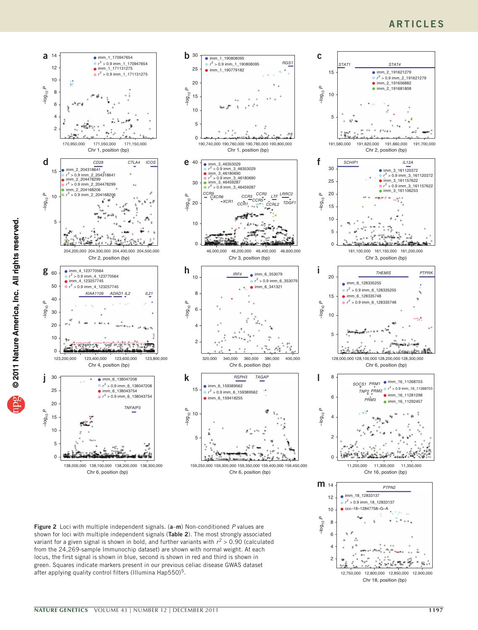# **ARTICLES**



**© 2011 Nature America, Inc. All rights reserved.**

© 2011 Nature America, Inc. All rights reserved.



<span id="page-4-0"></span>

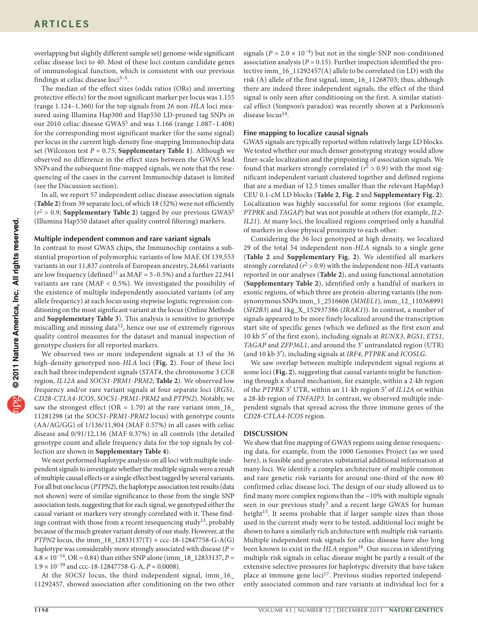overlapping but slightly different sample set) genome-wide significant celiac disease loci to 40. Most of these loci contain candidate genes of immunological function, which is consistent with our previous findings at celiac disease  $loci^{3-5}$  $loci^{3-5}$  $loci^{3-5}$ .

The median of the effect sizes (odds ratios (ORs) and inverting protective effects) for the most significant marker per locus was 1.155 (range 1.124–1.360) for the top signals from 26 non-*HLA* loci measured using Illumina Hap300 and Hap550 LD-pruned tag SNPs in our 2010 celiac disease GWAS<sup>[5](#page-8-9)</sup> and was 1.166 (range 1.087-1.408) for the corresponding most significant marker (for the same signal) per locus in the current high-density fine-mapping Immunochip data set (Wilcoxon test  $P = 0.75$ ; **Supplementary Table 1**). Although we observed no difference in the effect sizes between the GWAS lead SNPs and the subsequent fine-mapped signals, we note that the resequencing of the cases in the current Immunochip dataset is limited (see the Discussion section).

In all, we report 57 independent celiac disease association signals (**[Table 2](#page-2-0)**) from 39 separate loci, of which 18 (32%) were not efficiently  $(r^2 > 0.9;$  **Supplementary Table 2**) tagged by our previous GWAS<sup>[5](#page-8-9)</sup> (Illumina Hap550 dataset after quality control filtering) markers.

#### **Multiple independent common and rare variant signals**

In contrast to most GWAS chips, the Immunochip contains a substantial proportion of polymorphic variants of low MAF. Of 139,553 variants in our 11,837 controls of European ancestry, 24,661 variants are low frequency (defined<sup>11</sup> as  $MAF = 5-0.5%$ ) and a further 22,941 variants are rare (MAF < 0.5%). We investigated the possibility of the existence of multiple independently associated variants (of any allele frequency) at each locus using stepwise logistic regression conditioning on the most significant variant at the locus (Online Methods and **Supplementary Table 3**). This analysis is sensitive to genotype miscalling and missing data<sup>12</sup>, hence our use of extremely rigorous quality control measures for the dataset and manual inspection of genotype clusters for all reported markers.

We observed two or more independent signals at 13 of the 36 high-density genotyped non-*HLA* loci (**[Fig. 2](#page-4-0)**). Four of these loci each had three independent signals (*STAT4*, the chromosome 3 *CCR* region, *IL12A* and *SOCS1*-*PRM1*-*PRM2*; **[Table 2](#page-2-0)**). We observed low frequency and/or rare variant signals at four separate loci (*RGS1*, *CD28*-*CTLA4*-*ICOS*, *SOCS1*-*PRM1*-*PRM2* and *PTPN2*). Notably, we saw the strongest effect (OR =  $1.70$ ) at the rare variant imm\_16\_ 11281298 (at the *SOCS1*-*PRM1*-*PRM2* locus) with genotype counts (AA/AG/GG) of 1/136/11,904 (MAF 0.57%) in all cases with celiac disease and 0/91/12,136 (MAF 0.37%) in all controls (the detailed genotype count and allele frequency data for the top signals by collection are shown in **Supplementary Table 4**).

We next performed haplotype analysis on all loci with multiple independent signals to investigate whether the multiple signals were a result of multiple causal effects or a single effect best tagged by several variants. For all but one locus (*PTPN2*), the haplotype association test results (data not shown) were of similar significance to those from the single SNP association tests, suggesting that for each signal, we genotyped either the causal variant or markers very strongly correlated with it. These findings contrast with those from a recent resequencing study<sup>13</sup>, probably because of the much greater variant density of our study. However, at the *PTPN2* locus, the imm\_18\_12833137(T) + ccc-18-12847758-G-A(G) haplotype was considerably more strongly associated with disease (*P* = 4.8 × 10−14, OR = 0.84) than either SNP alone (imm\_18\_12833137, *P* = 1.9 × 10−10 and ccc-18-12847758-G-A, *P* = 0.0008).

At the *SOCS1* locus, the third independent signal, imm\_16\_ 11292457, showed association after conditioning on the two other signals ( $P = 2.0 \times 10^{-4}$ ) but not in the single-SNP non-conditioned association analysis ( $P = 0.15$ ). Further inspection identified the protective imm\_16\_11292457(A) allele to be correlated (in LD) with the risk (A) allele of the first signal, imm\_16\_11268703; thus, although there are indeed three independent signals, the effect of the third signal is only seen after conditioning on the first. A similar statistical effect (Simpson's paradox) was recently shown at a Parkinson's disease  $locus<sup>14</sup>$ .

# **Fine mapping to localize causal signals**

GWAS signals are typically reported within relatively large LD blocks. We tested whether our much denser genotyping strategy would allow finer-scale localization and the pinpointing of association signals. We found that markers strongly correlated ( $r^2 > 0.9$ ) with the most significant independent variant clustered together and defined regions that are a median of 12.5 times smaller than the relevant HapMap3 CEU 0.1-cM LD blocks (**[Table 2](#page-2-0)**, **[Fig. 2](#page-4-0)** and **Supplementary Fig. 2**). Localization was highly successful for some regions (for example, *PTPRK* and *TAGAP*) but was not possible at others (for example, *IL2*- *IL21*). At many loci, the localized regions comprised only a handful of markers in close physical proximity to each other.

Considering the 36 loci genotyped at high density, we localized 29 of the total 54 independent non-*HLA* signals to a single gene (**[Table 2](#page-2-0)** and **Supplementary Fig. 2**). We identified all markers strongly correlated ( $r^2$  > 0.9) with the independent non-*HLA* variants reported in our analyses (**[Table 2](#page-2-0)**), and using functional annotation (**Supplementary Table 2**), identified only a handful of markers in exonic regions, of which three are protein-altering variants (the nonsynonymous SNPs imm\_1\_2516606 (*MMEL1*), imm\_12\_110368991 (*SH2B3*) and 1kg\_X\_152937386 (*IRAK1*)). In contrast, a number of signals appeared to be more finely localized around the transcription start site of specific genes (which we defined as the first exon and 10 kb 5′ of the first exon), including signals at *RUNX3*, *RGS1*, *ETS1*, *TAGAP* and *ZFP36L1*, and around the 3′ untranslated region (UTR) (and 10 kb 3′), including signals at *IRF4*, *PTPRK* and *ICOSLG*.

We saw overlap between multiple independent signal regions at some loci (**[Fig. 2](#page-4-0)**), suggesting that causal variants might be functioning through a shared mechanism, for example, within a 2-kb region of the *PTPRK* 3′ UTR, within an 11-kb region 5′ of *IL12A* or within a 28-kb region of *TNFAIP3*. In contrast, we observed multiple independent signals that spread across the three immune genes of the *CD28*-*CTLA4*-*ICOS* region.

#### **DISCUSSION**

We show that fine mapping of GWAS regions using dense resequencing data, for example, from the 1000 Genomes Project (as we used here), is feasible and generates substantial additional information at many loci. We identify a complex architecture of multiple common and rare genetic risk variants for around one-third of the now 40 confirmed celiac disease loci. The design of our study allowed us to find many more complex regions than the  $\sim$  10% with multiple signals seen in our previous study<sup>[5](#page-8-9)</sup> and a recent large GWAS for human height<sup>15</sup>. It seems probable that if larger sample sizes than those used in the current study were to be tested, additional loci might be shown to have a similarly rich architecture with multiple risk variants. Multiple independent risk signals for celiac disease have also long been known to exist in the *HLA* region<sup>16</sup>. Our success in identifying multiple risk signals in celiac disease might be partly a result of the extensive selective pressures for haplotypic diversity that have taken place at immune gene loci<sup>[17](#page-8-15)</sup>. Previous studies reported independently associated common and rare variants at individual loci for a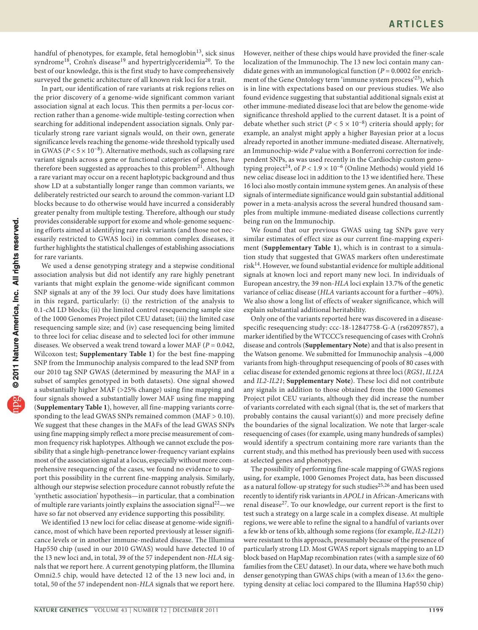handful of phenotypes, for example, fetal hemoglobin $13$ , sick sinus syndrome<sup>[18](#page-8-16)</sup>, Crohn's disease<sup>19</sup> and hypertriglyceridemia<sup>20</sup>. To the best of our knowledge, this is the first study to have comprehensively surveyed the genetic architecture of all known risk loci for a trait.

In part, our identification of rare variants at risk regions relies on the prior discovery of a genome-wide significant common variant association signal at each locus. This then permits a per-locus correction rather than a genome-wide multiple-testing correction when searching for additional independent association signals. Only particularly strong rare variant signals would, on their own, generate significance levels reaching the genome-wide threshold typically used in GWAS ( $P$  < 5 × 10<sup>-8</sup>). Alternative methods, such as collapsing rare variant signals across a gene or functional categories of genes, have therefore been suggested as approaches to this problem<sup>[21](#page-8-19)</sup>. Although a rare variant may occur on a recent haplotypic background and thus show LD at a substantially longer range than common variants, we deliberately restricted our search to around the common-variant LD blocks because to do otherwise would have incurred a considerably greater penalty from multiple testing. Therefore, although our study provides considerable support for exome and whole-genome sequencing efforts aimed at identifying rare risk variants (and those not necessarily restricted to GWAS loci) in common complex diseases, it further highlights the statistical challenges of establishing associations for rare variants.

We used a dense genotyping strategy and a stepwise conditional association analysis but did not identify any rare highly penetrant variants that might explain the genome-wide significant common SNP signals at any of the 39 loci. Our study does have limitations in this regard, particularly: (i) the restriction of the analysis to 0.1-cM LD blocks; (ii) the limited control resequencing sample size of the 1000 Genomes Project pilot CEU dataset; (iii) the limited case resequencing sample size; and (iv) case resequencing being limited to three loci for celiac disease and to selected loci for other immune diseases. We observed a weak trend toward a lower MAF (*P* = 0.042, Wilcoxon test; **Supplementary Table 1**) for the best fine-mapping SNP from the Immunochip analysis compared to the lead SNP from our 2010 tag SNP GWAS (determined by measuring the MAF in a subset of samples genotyped in both datasets). One signal showed a substantially higher MAF (>25% change) using fine mapping and four signals showed a substantially lower MAF using fine mapping (**Supplementary Table 1**), however, all fine-mapping variants corresponding to the lead GWAS SNPs remained common (MAF > 0.10). We suggest that these changes in the MAFs of the lead GWAS SNPs using fine mapping simply reflect a more precise measurement of common frequency risk haplotypes. Although we cannot exclude the possibility that a single high-penetrance lower-frequency variant explains most of the association signal at a locus, especially without more comprehensive resequencing of the cases, we found no evidence to support this possibility in the current fine-mapping analysis. Similarly, although our stepwise selection procedure cannot robustly refute the 'synthetic association' hypothesis—in particular, that a combination of multiple rare variants jointly explains the association signal[22—](#page-8-20)we have so far not observed any evidence supporting this possibility.

We identified 13 new loci for celiac disease at genome-wide significance, most of which have been reported previously at lesser significance levels or in another immune-mediated disease. The Illumina Hap550 chip (used in our 2010 GWAS) would have detected 10 of the 13 new loci and, in total, 39 of the 57 independent non-*HLA* signals that we report here. A current genotyping platform, the Illumina Omni2.5 chip, would have detected 12 of the 13 new loci and, in total, 50 of the 57 independent non-*HLA* signals that we report here.

However, neither of these chips would have provided the finer-scale localization of the Immunochip. The 13 new loci contain many candidate genes with an immunological function  $(P = 0.0002$  for enrichment of the Gene Ontology term 'immune system process'<sup>23</sup>), which is in line with expectations based on our previous studies. We also found evidence suggesting that substantial additional signals exist at other immune-mediated disease loci that are below the genome-wide significance threshold applied to the current dataset. It is a point of debate whether such strict ( $P < 5 \times 10^{-8}$ ) criteria should apply; for example, an analyst might apply a higher Bayesian prior at a locus already reported in another immune-mediated disease. Alternatively, an Immunochip-wide *P* value with a Bonferroni correction for independent SNPs, as was used recently in the Cardiochip custom geno-typing project<sup>[24](#page-8-22)</sup>, of  $P < 1.9 \times 10^{-6}$  (Online Methods) would yield 16 new celiac disease loci in addition to the 13 we identified here. These 16 loci also mostly contain immune system genes. An analysis of these signals of intermediate significance would gain substantial additional power in a meta-analysis across the several hundred thousand samples from multiple immune-mediated disease collections currently being run on the Immunochip.

We found that our previous GWAS using tag SNPs gave very similar estimates of effect size as our current fine-mapping experiment (**Supplementary Table 1**), which is in contrast to a simulation study that suggested that GWAS markers often underestimate  $risk^{14}$ . However, we found substantial evidence for multiple additional signals at known loci and report many new loci. In individuals of European ancestry, the 39 non-*HLA* loci explain 13.7% of the genetic variance of celiac disease (*HLA* variants account for a further ~40%). We also show a long list of effects of weaker significance, which will explain substantial additional heritability.

Only one of the variants reported here was discovered in a diseasespecific resequencing study: ccc-18-12847758-G-A (rs62097857), a marker identified by the WTCCC's resequencing of cases with Crohn's disease and controls (**Supplementary Note**) and that is also present in the Watson genome. We submitted for Immunochip analysis ~4,000 variants from high-throughput resequencing of pools of 80 cases with celiac disease for extended genomic regions at three loci (*RGS1*, *IL12A* and *IL2*-*IL21*; **Supplementary Note**). These loci did not contribute any signals in addition to those obtained from the 1000 Genomes Project pilot CEU variants, although they did increase the number of variants correlated with each signal (that is, the set of markers that probably contains the causal variant(s)) and more precisely define the boundaries of the signal localization. We note that larger-scale resequencing of cases (for example, using many hundreds of samples) would identify a spectrum containing more rare variants than the current study, and this method has previously been used with success at selected genes and phenotypes.

The possibility of performing fine-scale mapping of GWAS regions using, for example, 1000 Genomes Project data, has been discussed as a natural follow-up strategy for such studies<sup>25,[26](#page-8-24)</sup> and has been used recently to identify risk variants in *APOL1* in African-Americans with renal disease<sup>27</sup>. To our knowledge, our current report is the first to test such a strategy on a large scale in a complex disease. At multiple regions, we were able to refine the signal to a handful of variants over a few kb or tens of kb, although some regions (for example, *IL2*-*IL21*) were resistant to this approach, presumably because of the presence of particularly strong LD. Most GWAS report signals mapping to an LD block based on HapMap recombination rates (with a sample size of 60 families from the CEU dataset). In our data, where we have both much denser genotyping than GWAS chips (with a mean of 13.6× the genotyping density at celiac loci compared to the Illumina Hap550 chip)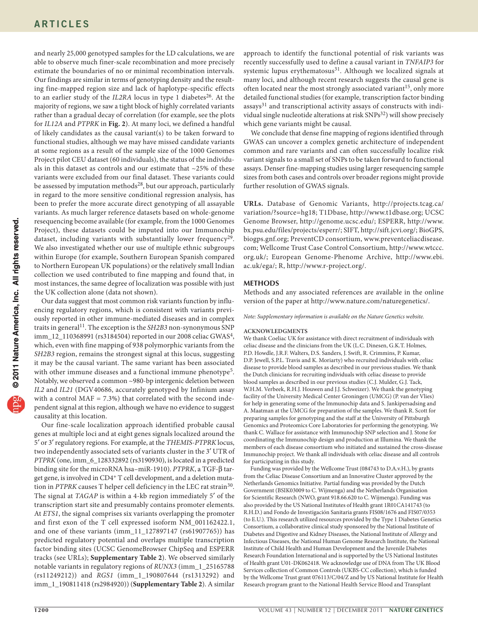and nearly 25,000 genotyped samples for the LD calculations, we are able to observe much finer-scale recombination and more precisely estimate the boundaries of no or minimal recombination intervals. Our findings are similar in terms of genotyping density and the resulting fine-mapped region size and lack of haplotype-specific effects to an earlier study of the *IL2RA* locus in type 1 diabetes<sup>26</sup>. At the majority of regions, we saw a tight block of highly correlated variants rather than a gradual decay of correlation (for example, see the plots for *IL12A* and *PTPRK* in **[Fig. 2](#page-4-0)**). At many loci, we defined a handful of likely candidates as the causal variant(s) to be taken forward to functional studies, although we may have missed candidate variants at some regions as a result of the sample size of the 1000 Genomes Project pilot CEU dataset (60 individuals), the status of the individuals in this dataset as controls and our estimate that  $\sim$ 25% of these variants were excluded from our final dataset. These variants could be assessed by imputation methods<sup>28</sup>, but our approach, particularly in regard to the more sensitive conditional regression analysis, has been to prefer the more accurate direct genotyping of all assayable variants. As much larger reference datasets based on whole-genome resequencing become available (for example, from the 1000 Genomes Project), these datasets could be imputed into our Immunochip dataset, including variants with substantially lower frequency<sup>[29](#page-8-27)</sup>. We also investigated whether our use of multiple ethnic subgroups within Europe (for example, Southern European Spanish compared to Northern European UK populations) or the relatively small Indian collection we used contributed to fine mapping and found that, in most instances, the same degree of localization was possible with just the UK collection alone (data not shown).

Our data suggest that most common risk variants function by influencing regulatory regions, which is consistent with variants previously reported in other immune-mediated diseases and in complex traits in general<sup>[11](#page-8-8)</sup>. The exception is the *SH2B3* non-synonymous SNP imm\_12\_110368991 (rs318[4](#page-8-28)504) reported in our 2008 celiac GWAS<sup>4</sup>, which, even with fine mapping of 938 polymorphic variants from the *SH2B3* region, remains the strongest signal at this locus, suggesting it may be the causal variant. The same variant has been associated with other immune diseases and a functional immune phenotype<sup>[5](#page-8-9)</sup>. Notably, we observed a common ~980-bp intergenic deletion between *IL2* and *IL21* (DGV40686, accurately genotyped by Infinium assay with a control  $MAF = 7.3\%$ ) that correlated with the second independent signal at this region, although we have no evidence to suggest causality at this location.

Our fine-scale localization approach identified probable causal genes at multiple loci and at eight genes signals localized around the 5′ or 3′ regulatory regions. For example, at the *THEMIS*-*PTPRK* locus, two independently associated sets of variants cluster in the 3′ UTR of *PTPRK* (one, imm\_6\_128332892 (rs3190930), is located in a predicted binding site for the microRNA hsa–miR-1910). *PTPRK*, a TGF-β target gene, is involved in CD4+ T cell development, and a deletion mutation in *PTPRK* causes T helper cell deficiency in the LEC rat strain<sup>[30](#page-8-29)</sup>. The signal at *TAGAP* is within a 4-kb region immediately 5′ of the transcription start site and presumably contains promoter elements. At *ETS1*, the signal comprises six variants overlapping the promoter and first exon of the T cell expressed isoform NM\_001162422.1, and one of these variants (imm\_11\_127897147 (rs61907765)) has predicted regulatory potential and overlaps multiple transcription factor binding sites (UCSC GenomeBrowser ChipSeq and ESPERR tracks (see URLs); **Supplementary Table 2**). We observed similarly notable variants in regulatory regions of *RUNX3* (imm\_1\_25165788 (rs11249212)) and *RGS1* (imm\_1\_190807644 (rs1313292) and imm\_1\_190811418 (rs2984920)) (**Supplementary Table 2**). A similar

approach to identify the functional potential of risk variants was recently successfully used to define a causal variant in *TNFAIP3* for systemic lupus erythematosus $31$ . Although we localized signals at many loci, and although recent research suggests the causal gene is often located near the most strongly associated variant<sup>15</sup>, only more detailed functional studies (for example, transcription factor binding assays[31](#page-8-30) and transcriptional activity assays of constructs with individual single nucleotide alterations at risk  $SNPs<sup>32</sup>$  $SNPs<sup>32</sup>$  $SNPs<sup>32</sup>$ ) will show precisely which gene variants might be causal.

We conclude that dense fine mapping of regions identified through GWAS can uncover a complex genetic architecture of independent common and rare variants and can often successfully localize risk variant signals to a small set of SNPs to be taken forward to functional assays. Denser fine-mapping studies using larger resequencing sample sizes from both cases and controls over broader regions might provide further resolution of GWAS signals.

**URLs.** Database of Genomic Variants, [http://projects.tcag.ca/](http://projects.tcag.ca/variation/?source=hg18) [variation/?source=hg18](http://projects.tcag.ca/variation/?source=hg18); T1Dbase, [http://www.t1dbase.org;](http://www.t1dbase.org) UCSC Genome Browser, <http://genome.ucsc.edu/>; ESPERR, [http://www.](http://www.bx.psu.edu/files/projects/esperr/) [bx.psu.edu/files/projects/esperr/](http://www.bx.psu.edu/files/projects/esperr/); SIFT, [http://sift.jcvi.org/;](http://sift.jcvi.org/) BioGPS, [biogps.gnf.org;](biogps.gnf.org) PreventCD consortium, [www.preventceliacdisease.](http://www.preventcd.com) [com;](http://www.preventcd.com) Wellcome Trust Case Control Consortium, [http://www.wtccc.](http://www.wtccc.org.uk/) [org.uk/;](http://www.wtccc.org.uk/) European Genome-Phenome Archive, [http://www.ebi.](http://www.ebi.ac.uk/ega/) [ac.uk/ega/;](http://www.ebi.ac.uk/ega/) R,<http://www.r-project.org/>.

# **Methods**

Methods and any associated references are available in the online version of the paper at http://www.nature.com/naturegenetics/.

*Note: Supplementary information is available on the Nature [Genetics](http://www.nature.com/naturegenetics/) website.*

#### **Acknowledgments**

We thank Coeliac UK for assistance with direct recruitment of individuals with celiac disease and the clinicians from the UK (L.C. Dinesen, G.K.T. Holmes, P.D. Howdle, J.R.F. Walters, D.S. Sanders, J. Swift, R. Crimmins, P. Kumar, D.P. Jewell, S.P.L. Travis and K. Moriarty) who recruited individuals with celiac disease to provide blood samples as described in our previous studies. We thank the Dutch clinicians for recruiting individuals with celiac disease to provide blood samples as described in our previous studies (C.J. Mulder, G.J. Tack, W.H.M. Verbeek, R.H.J. Houwen and J.J. Schweizer). We thank the genotyping facility of the University Medical Center Groningen (UMCG) (P. van der Vlies) for help in generating some of the Immunochip data and S. Jankipersadsing and A. Maatman at the UMCG for preparation of the samples. We thank R. Scott for preparing samples for genotyping and the staff at the University of Pittsburgh Genomics and Proteomics Core Laboratories for performing the genotyping. We thank C. Wallace for assistance with Immunochip SNP selection and J. Stone for coordinating the Immunochip design and production at Illumina. We thank the members of each disease consortium who initiated and sustained the cross-disease Immunochip project. We thank all individuals with celiac disease and all controls for participating in this study.

Funding was provided by the Wellcome Trust (084743 to D.A.v.H.), by grants from the Celiac Disease Consortium and an Innovative Cluster approved by the Netherlands Genomics Initiative. Partial funding was provided by the Dutch Government (BSIK03009 to C. Wijmenga) and the Netherlands Organisation for Scientific Research (NWO, grant 918.66.620 to C. Wijmenga). Funding was also provided by the US National Institutes of Health grant 1R01CA141743 (to R.H.D.) and Fondo de Investigación Sanitaria grants FIS08/1676 and FIS07/0353 (to E.U.). This research utilized resources provided by the Type 1 Diabetes Genetics Consortium, a collaborative clinical study sponsored by the National Institute of Diabetes and Digestive and Kidney Diseases, the National Institute of Allergy and Infectious Diseases, the National Human Genome Research Institute, the National Institute of Child Health and Human Development and the Juvenile Diabetes Research Foundation International and is supported by the US National Institutes of Health grant U01-DK062418. We acknowledge use of DNA from The UK Blood Services collection of Common Controls (UKBS-CC collection), which is funded by the Wellcome Trust grant 076113/C/04/Z and by US National Institute for Health Research program grant to the National Health Service Blood and Transplant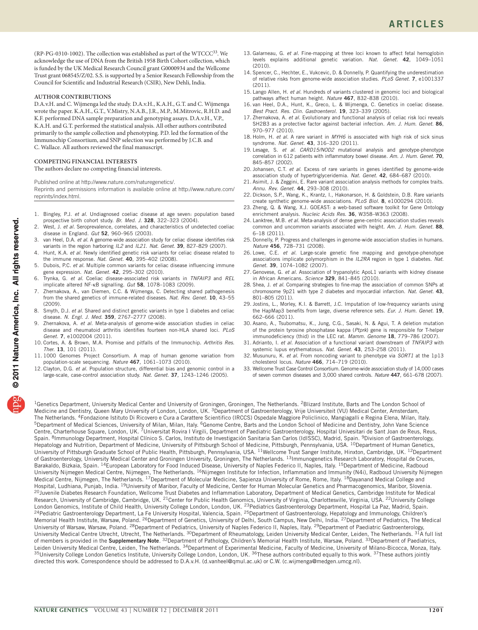(RP-PG-0310-1002). The collection was established as part of the WTCCC $^{33}$  $^{33}$  $^{33}$ . We acknowledge the use of DNA from the British 1958 Birth Cohort collection, which is funded by the UK Medical Research Council grant G0000934 and the Wellcome Trust grant 068545/Z/02. S.S. is supported by a Senior Research Fellowship from the Council for Scientific and Industrial Research (CSIR), New Dehli, India.

#### **AUTHOR CONTRIBUTIONS**

D.A.v.H. and C. Wijmenga led the study. D.A.v.H., K.A.H., G.T. and C. Wijmenga wrote the paper. K.A.H., G.T., V.Mistry, N.A.B., J.R., M.P., M.Mitrovic, R.H.D. and K.F. performed DNA sample preparation and genotyping assays. D.A.v.H., V.P., K.A.H. and G.T. performed the statistical analysis. All other authors contributed primarily to the sample collection and phenotyping. P.D. led the formation of the Immunochip Consortium, and SNP selection was performed by J.C.B. and C. Wallace. All authors reviewed the final manuscript.

#### **COMPETING FINANCIAL INTERESTS**

The authors declare no competing financial interests.

Published online at http://www.nature.com/naturegenetics/.

Reprints and permissions information is available online at http://www.nature.com/ reprints/index.html.

- <span id="page-8-0"></span>1. Bingley, P.J. *et al.* Undiagnosed coeliac disease at age seven: population based prospective birth cohort study. *Br. Med. J.* 328, 322–323 (2004).
- <span id="page-8-1"></span>2. West, J. *et al.* Seroprevalence, correlates, and characteristics of undetected coeliac disease in England. *Gut* 52, 960–965 (2003).
- <span id="page-8-2"></span>3. van Heel, D.A. *et al.* A genome-wide association study for celiac disease identifies risk variants in the region harboring *IL2* and *IL21*. *Nat. Genet.* 39, 827–829 (2007).
- <span id="page-8-28"></span>4. Hunt, K.A. *et al.* Newly identified genetic risk variants for celiac disease related to the immune response. *Nat. Genet.* 40, 395–402 (2008).
- <span id="page-8-9"></span>5. Dubois, P.C. *et al.* Multiple common variants for celiac disease influencing immune gene expression. *Nat. Genet.* 42, 295–302 (2010).
- <span id="page-8-3"></span>6. Trynka, G. *et al.* Coeliac disease-associated risk variants in *TNFAIP3* and *REL* implicate altered NF-κB signalling. *Gut* 58, 1078–1083 (2009).
- <span id="page-8-4"></span>Zhernakova, A., van Diemen, C.C. & Wijmenga, C. Detecting shared pathogenesis from the shared genetics of immune-related diseases. *Nat. Rev. Genet.* 10, 43–55 (2009).
- <span id="page-8-5"></span>8. Smyth, D.J. *et al.* Shared and distinct genetic variants in type 1 diabetes and celiac disease. *N. Engl. J. Med.* 359, 2767–2777 (2008).
- <span id="page-8-6"></span>9. Zhernakova, A. *et al.* Meta-analysis of genome-wide association studies in celiac disease and rheumatoid arthritis identifies fourteen non-HLA shared loci. *PLoS Genet.* 7, e1002004 (2011).
- <span id="page-8-7"></span>10. Cortes, A. & Brown, M.A. Promise and pitfalls of the Immunochip. *Arthritis Res. Ther.* 13, 101 (2011).
- <span id="page-8-8"></span>11. 1000 Genomes Project Consortium. A map of human genome variation from population-scale sequencing. *Nature* 467, 1061–1073 (2010).
- <span id="page-8-10"></span>12. Clayton, D.G. *et al.* Population structure, differential bias and genomic control in a large-scale, case-control association study. *Nat. Genet.* 37, 1243–1246 (2005).
- <span id="page-8-11"></span>13. Galarneau, G. *et al.* Fine-mapping at three loci known to affect fetal hemoglobin levels explains additional genetic variation. *Nat. Genet.* 42, 1049–1051 (2010).
- <span id="page-8-12"></span>14. Spencer, C., Hechter, E., Vukcevic, D. & Donnelly, P. Quantifying the underestimation of relative risks from genome-wide association studies. *PLoS Genet.* 7, e1001337 (2011).
- <span id="page-8-13"></span>15. Lango Allen, H. *et al.* Hundreds of variants clustered in genomic loci and biological pathways affect human height. *Nature* 467, 832–838 (2010).
- <span id="page-8-14"></span>16. van Heel, D.A., Hunt, K., Greco, L. & Wijmenga, C. Genetics in coeliac disease. *Best Pract. Res. Clin. Gastroenterol.* 19, 323–339 (2005).
- <span id="page-8-15"></span>17. Zhernakova, A. *et al.* Evolutionary and functional analysis of celiac risk loci reveals SH2B3 as a protective factor against bacterial infection. *Am. J. Hum. Genet.* 86, 970–977 (2010).
- <span id="page-8-16"></span>18. Holm, H. *et al.* A rare variant in *MYH6* is associated with high risk of sick sinus syndrome. *Nat. Genet.* 43, 316–320 (2011).
- <span id="page-8-17"></span>19. Lesage, S. *et al. CARD15/NOD2* mutational analysis and genotype-phenotype correlation in 612 patients with inflammatory bowel disease. *Am. J. Hum. Genet.* 70, 845–857 (2002).
- <span id="page-8-18"></span>20. Johansen, C.T. *et al.* Excess of rare variants in genes identified by genome-wide association study of hypertriglyceridemia. *Nat. Genet.* 42, 684–687 (2010).
- <span id="page-8-19"></span>21. Asimit, J. & Zeggini, E. Rare variant association analysis methods for complex traits. *Annu. Rev. Genet.* 44, 293–308 (2010).
- <span id="page-8-20"></span>22. Dickson, S.P., Wang, K., Krantz, I., Hakonarson, H. & Goldstein, D.B. Rare variants create synthetic genome-wide associations. *PLoS Biol.* 8, e1000294 (2010).
- <span id="page-8-21"></span>23. Zheng, Q. & Wang, X.J. GOEAST: a web-based software toolkit for Gene Ontology enrichment analysis. *Nucleic Acids Res.* 36, W358–W363 (2008).
- <span id="page-8-22"></span>24. Lanktree, M.B. *et al.* Meta-analysis of dense gene-centric association studies reveals common and uncommon variants associated with height. *Am. J. Hum. Genet.* 88, 6–18 (2011).
- <span id="page-8-23"></span>25. Donnelly, P. Progress and challenges in genome-wide association studies in humans. *Nature* 456, 728–731 (2008).
- <span id="page-8-24"></span>26. Lowe, C.E. *et al.* Large-scale genetic fine mapping and genotype-phenotype associations implicate polymorphism in the *IL2RA* region in type 1 diabetes. *Nat. Genet.* 39, 1074–1082 (2007).
- <span id="page-8-25"></span>27. Genovese, G. *et al.* Association of trypanolytic ApoL1 variants with kidney disease in African Americans. *Science* 329, 841–845 (2010).
- <span id="page-8-26"></span>28. Shea, J. *et al.* Comparing strategies to fine-map the association of common SNPs at chromosome 9p21 with type 2 diabetes and myocardial infarction. *Nat. Genet.* 43, 801–805 (2011).
- <span id="page-8-27"></span>29. Jostins, L., Morley, K.I. & Barrett, J.C. Imputation of low-frequency variants using the HapMap3 benefits from large, diverse reference sets. *Eur. J. Hum. Genet.* 19, 662–666 (2011).
- <span id="page-8-29"></span>30. Asano, A., Tsubomatsu, K., Jung, C.G., Sasaki, N. & Agui, T. A deletion mutation of the protein tyrosine phosphatase kappa (*Ptprk*) gene is responsible for T-helper immunodeficiency (thid) in the LEC rat. *Mamm. Genome* 18, 779–786 (2007).
- <span id="page-8-30"></span>31. Adrianto, I. *et al.* Association of a functional variant downstream of *TNFAIP3* with systemic lupus erythematosus. *Nat. Genet.* 43, 253–258 (2011).
- <span id="page-8-31"></span>32. Musunuru, K. *et al.* From noncoding variant to phenotype via *SORT1* at the 1p13 cholesterol locus. *Nature* 466, 714–719 (2010).
- <span id="page-8-32"></span>33. Wellcome Trust Case Control Consortium. Genome-wide association study of 14,000 cases of seven common diseases and 3,000 shared controls. *Nature* 447, 661–678 (2007).

<sup>1</sup>Genetics Department, University Medical Center and University of Groningen, Groningen, The Netherlands. <sup>2</sup>Blizard Institute, Barts and The London School of Medicine and Dentistry, Queen Mary University of London, London, UK. <sup>3</sup>Department of Gastroenterology, Vrije Universiteit (VU) Medical Center, Amsterdam, The Netherlands. <sup>4</sup>Fondazione Istituto Di Ricovero e Cura a Carattere Scientifico (IRCCS) Ospedale Maggiore Policlinico, Mangiagalli e Regina Elena, Milan, Italy.<br><sup>5</sup>Department of Medical Sciences, University of Milan, Mi Centre, Charterhouse Square, London, UK. <sup>7</sup>Universitat Rovira I Virgili, Department of Paediatric Gastroenterology, Hospital Univesitari de Sant Joan de Reus, Reus, Spain. <sup>8</sup>Immunology Department, Hospital Clínico S. Carlos, Instituto de Investigación Sanitaria San Carlos (IdISSC), Madrid, Spain. <sup>9</sup>Division of Gastroenterology, Hepatology and Nutrition, Department of Medicine, University of Pittsburgh School of Medicine, Pittsburgh, Pennsylvania, USA. <sup>10</sup>Department of Human Genetics, University of Pittsburgh Graduate School of Public Health, Pittsburgh, Pennsylvania, USA. 11Wellcome Trust Sanger Institute, Hinxton, Cambridge, UK. 12Department of Gastroenterology, University Medical Center and Groningen University, Groningen, The Netherlands. 13Immunogenetics Research Laboratory, Hospital de Cruces, Barakaldo, Bizkaia, Spain. <sup>14</sup>European Laboratory for Food Induced Disease, University of Naples Federico II, Naples, Italy. <sup>15</sup>Department of Medicine, Radboud University Nijmegen Medical Centre, Nijmegen, The Netherlands. 16Nijmegen Institute for Infection, Inflammation and Immunity (N4i), Radboud University Nijmegen Medical Centre, Nijmegen, The Netherlands. <sup>17</sup>Department of Molecular Medicine, Sapienza University of Rome, Rome, Italy. <sup>18</sup>Dayanand Medical College and Hospital, Ludhiana, Punjab, India. <sup>19</sup>University of Maribor, Faculty of Medicine, Center for Human Molecular Genetics and Pharmacogenomics, Maribor, Slovenia.<br><sup>20</sup>Juvenile Diabetes Research Foundation, Wellcome Trust Diab Research, University of Cambridge, Cambridge, UK. <sup>21</sup>Center for Public Health Genomics, University of Virginia, Charlottesville, Virginia, USA. <sup>22</sup>University College<br>London Genomics, Institute of Child Health, University <sup>24</sup>Pediatric Gastroenterology Department, La Fe University Hospital, Valencia, Spain. <sup>25</sup>Department of Gastroenterology, Hepatology and Immunology, Children's Memorial Health Institute, Warsaw, Poland. <sup>26</sup>Department of Genetics, University of Delhi, South Campus, New Delhi, India. <sup>27</sup>Department of Pediatrics, The Medical University of Warsaw, Warsaw, Poland. <sup>28</sup>Department of Pediatrics, University of Naples Federico II, Naples, Italy. <sup>29</sup>Department of Paediatric Gastroenterology, University Medical Centre Utrecht, Utrecht, The Netherlands. <sup>30</sup>Department of Rheumatology, Leiden University Medical Center, Leiden, The Netherlands. <sup>31</sup>A full list of members is provided in the Supplementary Note. <sup>32</sup>Department of Pathology, Children's Memorial Health Institute, Warsaw, Poland. <sup>33</sup>Department of Paediatrics, Leiden University Medical Centre, Leiden, The Netherlands. <sup>34</sup>Department of Experimental Medicine, Faculty of Medicine, University of Milano-Bicocca, Monza, Italy.<br><sup>35</sup>University College London Genetics Institute, Univers directed this work. Correspondence should be addressed to D.A.v.H. (d.vanheel@qmul.ac.uk) or C.W. (c.wijmenga@medgen.umcg.nl).